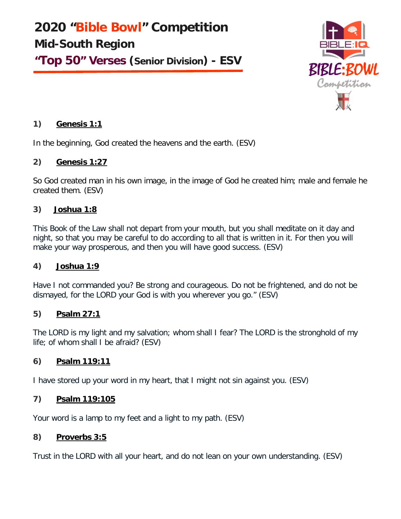**2020 "Bible Bowl" Competition Mid-South Region "Top 50" Verses (Senior Division) - ESV**



# **1) Genesis 1:1**

In the beginning, God created the heavens and the earth. (ESV)

# **2) Genesis 1:27**

So God created man in his own image, in the image of God he created him; male and female he created them. (ESV)

# **3) Joshua 1:8**

This Book of the Law shall not depart from your mouth, but you shall meditate on it day and night, so that you may be careful to do according to all that is written in it. For then you will make your way prosperous, and then you will have good success. (ESV)

### **4) Joshua 1:9**

Have I not commanded you? Be strong and courageous. Do not be frightened, and do not be dismayed, for the LORD your God is with you wherever you go." (ESV)

### **5) Psalm 27:1**

The LORD is my light and my salvation; whom shall I fear? The LORD is the stronghold of my life; of whom shall I be afraid? (ESV)

# **6) Psalm 119:11**

I have stored up your word in my heart, that I might not sin against you. (ESV)

### **7) Psalm 119:105**

Your word is a lamp to my feet and a light to my path. (ESV)

### **8) Proverbs 3:5**

Trust in the LORD with all your heart, and do not lean on your own understanding. (ESV)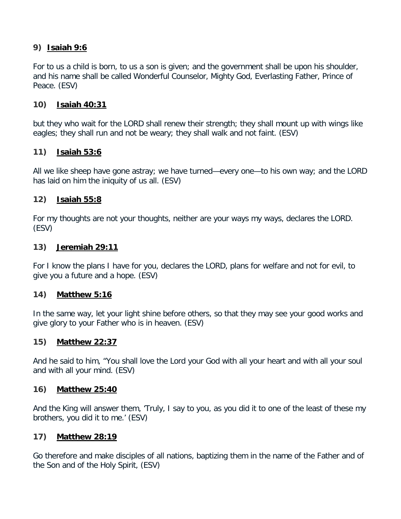# **9) Isaiah 9:6**

For to us a child is born, to us a son is given; and the government shall be upon his shoulder, and his name shall be called Wonderful Counselor, Mighty God, Everlasting Father, Prince of Peace. (ESV)

## **10) Isaiah 40:31**

but they who wait for the LORD shall renew their strength; they shall mount up with wings like eagles; they shall run and not be weary; they shall walk and not faint. (ESV)

## **11) Isaiah 53:6**

All we like sheep have gone astray; we have turned—every one—to his own way; and the LORD has laid on him the iniquity of us all. (ESV)

# **12) Isaiah 55:8**

For my thoughts are not your thoughts, neither are your ways my ways, declares the LORD. (ESV)

## **13) Jeremiah 29:11**

For I know the plans I have for you, declares the LORD, plans for welfare and not for evil, to give you a future and a hope. (ESV)

# **14) Matthew 5:16**

In the same way, let your light shine before others, so that they may see your good works and give glory to your Father who is in heaven. (ESV)

# **15) Matthew 22:37**

And he said to him, "You shall love the Lord your God with all your heart and with all your soul and with all your mind. (ESV)

### **16) Matthew 25:40**

And the King will answer them, 'Truly, I say to you, as you did it to one of the least of these my brothers, you did it to me.' (ESV)

### **17) Matthew 28:19**

Go therefore and make disciples of all nations, baptizing them in the name of the Father and of the Son and of the Holy Spirit, (ESV)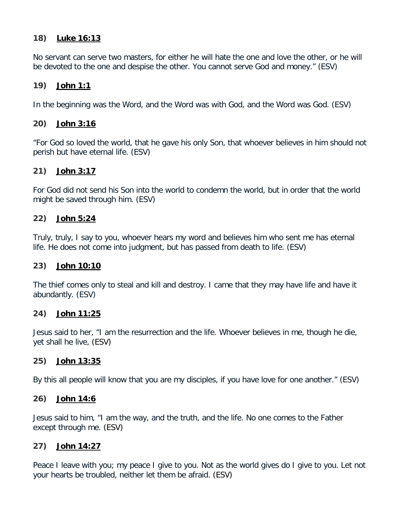## **18) Luke 16:13**

No servant can serve two masters, for either he will hate the one and love the other, or he will be devoted to the one and despise the other. You cannot serve God and money." (ESV)

## **19) John 1:1**

In the beginning was the Word, and the Word was with God, and the Word was God. (ESV)

## **20) John 3:16**

"For God so loved the world, that he gave his only Son, that whoever believes in him should not perish but have eternal life. (ESV)

## **21) John 3:17**

For God did not send his Son into the world to condemn the world, but in order that the world might be saved through him. (ESV)

## **22) John 5:24**

Truly, truly, I say to you, whoever hears my word and believes him who sent me has eternal life. He does not come into judgment, but has passed from death to life. (ESV)

### **23) John 10:10**

The thief comes only to steal and kill and destroy. I came that they may have life and have it abundantly. (ESV)

### **24) John 11:25**

Jesus said to her, "I am the resurrection and the life. Whoever believes in me, though he die, yet shall he live, (ESV)

### **25) John 13:35**

By this all people will know that you are my disciples, if you have love for one another." (ESV)

### **26) John 14:6**

Jesus said to him, "I am the way, and the truth, and the life. No one comes to the Father except through me. (ESV)

### **27) John 14:27**

Peace I leave with you; my peace I give to you. Not as the world gives do I give to you. Let not your hearts be troubled, neither let them be afraid. (ESV)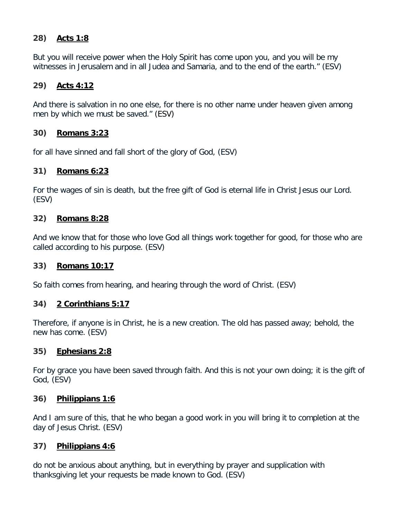# **28) Acts 1:8**

But you will receive power when the Holy Spirit has come upon you, and you will be my witnesses in Jerusalem and in all Judea and Samaria, and to the end of the earth." (ESV)

# **29) Acts 4:12**

And there is salvation in no one else, for there is no other name under heaven given among men by which we must be saved." (ESV)

# **30) Romans 3:23**

for all have sinned and fall short of the glory of God, (ESV)

## **31) Romans 6:23**

For the wages of sin is death, but the free gift of God is eternal life in Christ Jesus our Lord. (ESV)

## **32) Romans 8:28**

And we know that for those who love God all things work together for good, for those who are called according to his purpose. (ESV)

# **33) Romans 10:17**

So faith comes from hearing, and hearing through the word of Christ. (ESV)

# **34) 2 Corinthians 5:17**

Therefore, if anyone is in Christ, he is a new creation. The old has passed away; behold, the new has come. (ESV)

# **35) Ephesians 2:8**

For by grace you have been saved through faith. And this is not your own doing; it is the gift of God, (ESV)

### **36) Philippians 1:6**

And I am sure of this, that he who began a good work in you will bring it to completion at the day of Jesus Christ. (ESV)

# **37) Philippians 4:6**

do not be anxious about anything, but in everything by prayer and supplication with thanksgiving let your requests be made known to God. (ESV)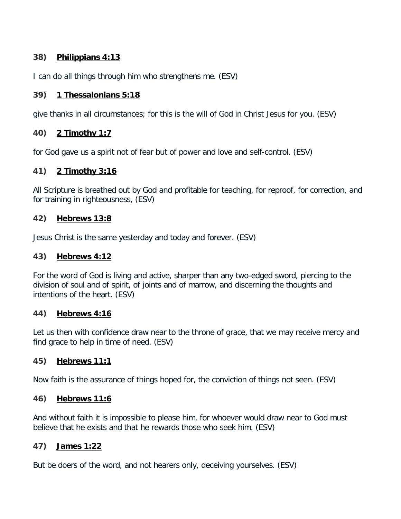# **38) Philippians 4:13**

I can do all things through him who strengthens me. (ESV)

# **39) 1 Thessalonians 5:18**

give thanks in all circumstances; for this is the will of God in Christ Jesus for you. (ESV)

# **40) 2 Timothy 1:7**

for God gave us a spirit not of fear but of power and love and self-control. (ESV)

# **41) 2 Timothy 3:16**

All Scripture is breathed out by God and profitable for teaching, for reproof, for correction, and for training in righteousness, (ESV)

## **42) Hebrews 13:8**

Jesus Christ is the same yesterday and today and forever. (ESV)

## **43) Hebrews 4:12**

For the word of God is living and active, sharper than any two-edged sword, piercing to the division of soul and of spirit, of joints and of marrow, and discerning the thoughts and intentions of the heart. (ESV)

### **44) Hebrews 4:16**

Let us then with confidence draw near to the throne of grace, that we may receive mercy and find grace to help in time of need. (ESV)

# **45) Hebrews 11:1**

Now faith is the assurance of things hoped for, the conviction of things not seen. (ESV)

### **46) Hebrews 11:6**

And without faith it is impossible to please him, for whoever would draw near to God must believe that he exists and that he rewards those who seek him. (ESV)

# **47) James 1:22**

But be doers of the word, and not hearers only, deceiving yourselves. (ESV)